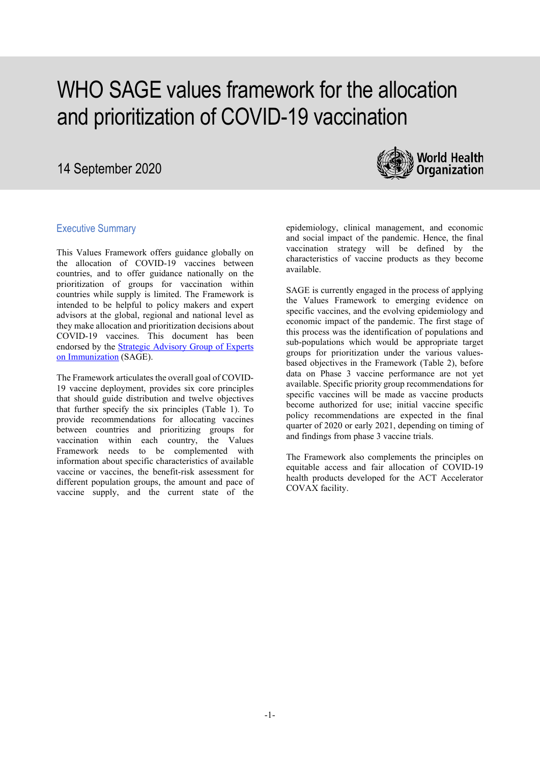# WHO SAGE values framework for the allocation and prioritization of COVID-19 vaccination

# 14 September 2020



# Executive Summary

This Values Framework offers guidance globally on the allocation of COVID-19 vaccines between countries, and to offer guidance nationally on the prioritization of groups for vaccination within countries while supply is limited. The Framework is intended to be helpful to policy makers and expert advisors at the global, regional and national level as they make allocation and prioritization decisions about COVID-19 vaccines. This document has been endorsed by the [Strategic Advisory Group of Experts](https://www.who.int/immunization/sage/members/en/)  [on Immunization](https://www.who.int/immunization/sage/members/en/) (SAGE).

The Framework articulates the overall goal of COVID-19 vaccine deployment, provides six core principles that should guide distribution and twelve objectives that further specify the six principles (Table 1). To provide recommendations for allocating vaccines between countries and prioritizing groups for vaccination within each country, the Values Framework needs to be complemented with information about specific characteristics of available vaccine or vaccines, the benefit-risk assessment for different population groups, the amount and pace of vaccine supply, and the current state of the

epidemiology, clinical management, and economic and social impact of the pandemic. Hence, the final vaccination strategy will be defined by the characteristics of vaccine products as they become available.

SAGE is currently engaged in the process of applying the Values Framework to emerging evidence on specific vaccines, and the evolving epidemiology and economic impact of the pandemic. The first stage of this process was the identification of populations and sub-populations which would be appropriate target groups for prioritization under the various valuesbased objectives in the Framework (Table 2), before data on Phase 3 vaccine performance are not yet available. Specific priority group recommendations for specific vaccines will be made as vaccine products become authorized for use; initial vaccine specific policy recommendations are expected in the final quarter of 2020 or early 2021, depending on timing of and findings from phase 3 vaccine trials.

The Framework also complements the principles on equitable access and fair allocation of COVID-19 health products developed for the ACT Accelerator COVAX facility.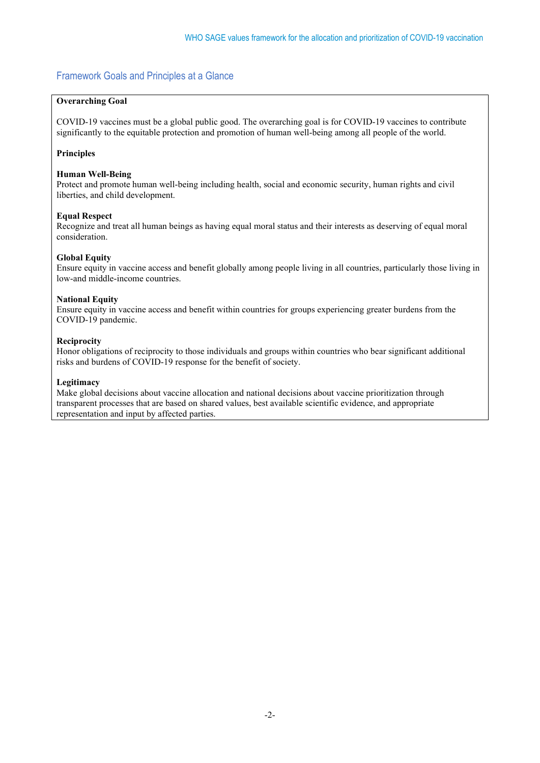# Framework Goals and Principles at a Glance

# **Overarching Goal**

COVID-19 vaccines must be a global public good. The overarching goal is for COVID-19 vaccines to contribute significantly to the equitable protection and promotion of human well-being among all people of the world.

# **Principles**

# **Human Well-Being**

Protect and promote human well-being including health, social and economic security, human rights and civil liberties, and child development.

# **Equal Respect**

Recognize and treat all human beings as having equal moral status and their interests as deserving of equal moral consideration.

# **Global Equity**

Ensure equity in vaccine access and benefit globally among people living in all countries, particularly those living in low-and middle-income countries.

# **National Equity**

Ensure equity in vaccine access and benefit within countries for groups experiencing greater burdens from the COVID-19 pandemic.

# **Reciprocity**

Honor obligations of reciprocity to those individuals and groups within countries who bear significant additional risks and burdens of COVID-19 response for the benefit of society.

# **Legitimacy**

Make global decisions about vaccine allocation and national decisions about vaccine prioritization through transparent processes that are based on shared values, best available scientific evidence, and appropriate representation and input by affected parties.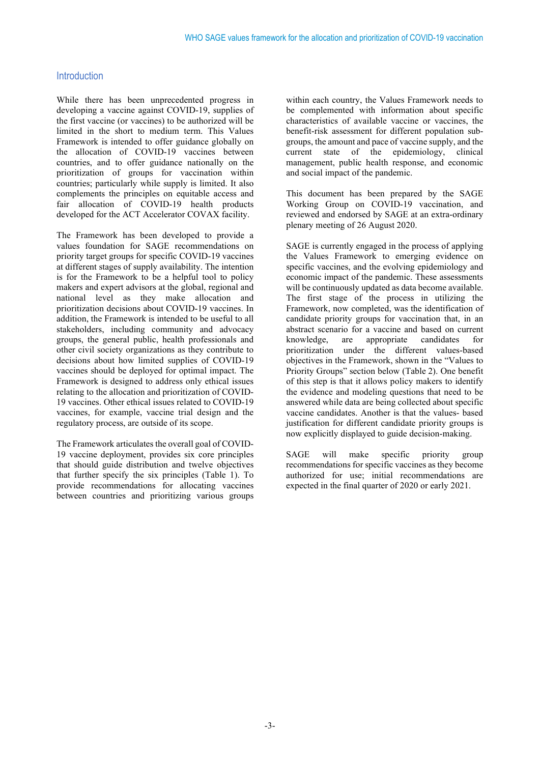# Introduction

While there has been unprecedented progress in developing a vaccine against COVID-19, supplies of the first vaccine (or vaccines) to be authorized will be limited in the short to medium term. This Values Framework is intended to offer guidance globally on the allocation of COVID-19 vaccines between countries, and to offer guidance nationally on the prioritization of groups for vaccination within countries; particularly while supply is limited. It also complements the principles on equitable access and fair allocation of COVID-19 health products developed for the ACT Accelerator COVAX facility.

The Framework has been developed to provide a values foundation for SAGE recommendations on priority target groups for specific COVID-19 vaccines at different stages of supply availability. The intention is for the Framework to be a helpful tool to policy makers and expert advisors at the global, regional and national level as they make allocation and prioritization decisions about COVID-19 vaccines. In addition, the Framework is intended to be useful to all stakeholders, including community and advocacy groups, the general public, health professionals and other civil society organizations as they contribute to decisions about how limited supplies of COVID-19 vaccines should be deployed for optimal impact. The Framework is designed to address only ethical issues relating to the allocation and prioritization of COVID-19 vaccines. Other ethical issues related to COVID-19 vaccines, for example, vaccine trial design and the regulatory process, are outside of its scope.

The Framework articulates the overall goal of COVID-19 vaccine deployment, provides six core principles that should guide distribution and twelve objectives that further specify the six principles (Table 1). To provide recommendations for allocating vaccines between countries and prioritizing various groups

within each country, the Values Framework needs to be complemented with information about specific characteristics of available vaccine or vaccines, the benefit-risk assessment for different population subgroups, the amount and pace of vaccine supply, and the current state of the epidemiology, clinical management, public health response, and economic and social impact of the pandemic.

This document has been prepared by the SAGE Working Group on COVID-19 vaccination, and reviewed and endorsed by SAGE at an extra-ordinary plenary meeting of 26 August 2020.

SAGE is currently engaged in the process of applying the Values Framework to emerging evidence on specific vaccines, and the evolving epidemiology and economic impact of the pandemic. These assessments will be continuously updated as data become available. The first stage of the process in utilizing the Framework, now completed, was the identification of candidate priority groups for vaccination that, in an abstract scenario for a vaccine and based on current knowledge, are appropriate candidates for prioritization under the different values-based objectives in the Framework, shown in the "Values to Priority Groups" section below (Table 2). One benefit of this step is that it allows policy makers to identify the evidence and modeling questions that need to be answered while data are being collected about specific vaccine candidates. Another is that the values- based justification for different candidate priority groups is now explicitly displayed to guide decision-making.

SAGE will make specific priority group recommendations for specific vaccines as they become authorized for use; initial recommendations are expected in the final quarter of 2020 or early 2021.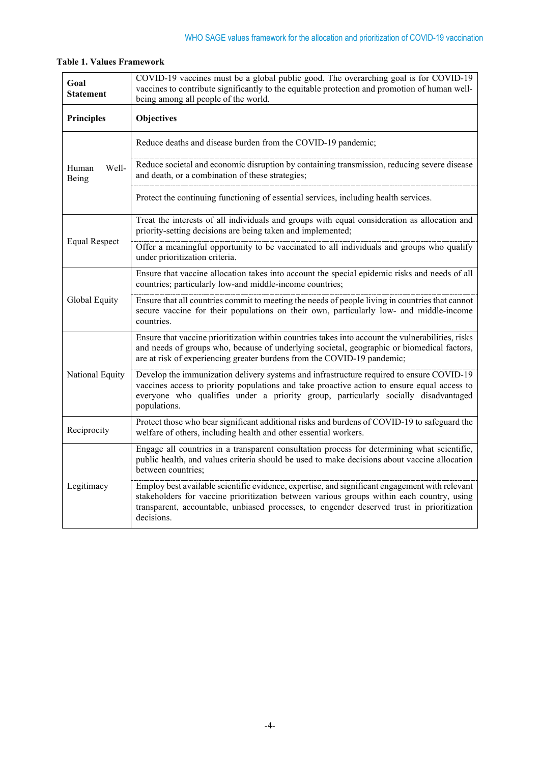| Goal<br><b>Statement</b> | COVID-19 vaccines must be a global public good. The overarching goal is for COVID-19<br>vaccines to contribute significantly to the equitable protection and promotion of human well-<br>being among all people of the world.                                                                           |  |  |
|--------------------------|---------------------------------------------------------------------------------------------------------------------------------------------------------------------------------------------------------------------------------------------------------------------------------------------------------|--|--|
| <b>Principles</b>        | Objectives                                                                                                                                                                                                                                                                                              |  |  |
| Well-<br>Human<br>Being  | Reduce deaths and disease burden from the COVID-19 pandemic;                                                                                                                                                                                                                                            |  |  |
|                          | Reduce societal and economic disruption by containing transmission, reducing severe disease<br>and death, or a combination of these strategies;                                                                                                                                                         |  |  |
|                          | Protect the continuing functioning of essential services, including health services.                                                                                                                                                                                                                    |  |  |
| <b>Equal Respect</b>     | Treat the interests of all individuals and groups with equal consideration as allocation and<br>priority-setting decisions are being taken and implemented;                                                                                                                                             |  |  |
|                          | Offer a meaningful opportunity to be vaccinated to all individuals and groups who qualify<br>under prioritization criteria.                                                                                                                                                                             |  |  |
| Global Equity            | Ensure that vaccine allocation takes into account the special epidemic risks and needs of all<br>countries; particularly low-and middle-income countries;                                                                                                                                               |  |  |
|                          | Ensure that all countries commit to meeting the needs of people living in countries that cannot<br>secure vaccine for their populations on their own, particularly low- and middle-income<br>countries.                                                                                                 |  |  |
| National Equity          | Ensure that vaccine prioritization within countries takes into account the vulnerabilities, risks<br>and needs of groups who, because of underlying societal, geographic or biomedical factors,<br>are at risk of experiencing greater burdens from the COVID-19 pandemic;                              |  |  |
|                          | Develop the immunization delivery systems and infrastructure required to ensure COVID-19<br>vaccines access to priority populations and take proactive action to ensure equal access to<br>everyone who qualifies under a priority group, particularly socially disadvantaged<br>populations.           |  |  |
| Reciprocity              | Protect those who bear significant additional risks and burdens of COVID-19 to safeguard the<br>welfare of others, including health and other essential workers.                                                                                                                                        |  |  |
| Legitimacy               | Engage all countries in a transparent consultation process for determining what scientific,<br>public health, and values criteria should be used to make decisions about vaccine allocation<br>between countries;                                                                                       |  |  |
|                          | Employ best available scientific evidence, expertise, and significant engagement with relevant<br>stakeholders for vaccine prioritization between various groups within each country, using<br>transparent, accountable, unbiased processes, to engender deserved trust in prioritization<br>decisions. |  |  |

# **Table 1. Values Framework**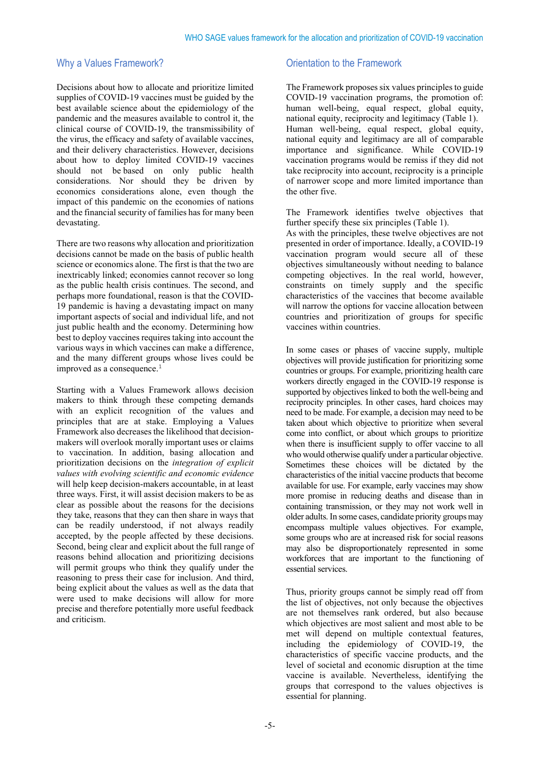# Why a Values Framework?

Decisions about how to allocate and prioritize limited supplies of COVID-19 vaccines must be guided by the best available science about the epidemiology of the pandemic and the measures available to control it, the clinical course of COVID-19, the transmissibility of the virus, the efficacy and safety of available vaccines, and their delivery characteristics. However, decisions about how to deploy limited COVID-19 vaccines should not be based on only public health considerations. Nor should they be driven by economics considerations alone, even though the impact of this pandemic on the economies of nations and the financial security of families has for many been devastating.

There are two reasons why allocation and prioritization decisions cannot be made on the basis of public health science or economics alone. The first is that the two are inextricably linked; economies cannot recover so long as the public health crisis continues. The second, and perhaps more foundational, reason is that the COVID-19 pandemic is having a devastating impact on many important aspects of social and individual life, and not just public health and the economy. Determining how best to deploy vaccines requires taking into account the various ways in which vaccines can make a difference, and the many different groups whose lives could be improved as a consequence.<sup>[1](#page-11-0)</sup>

<span id="page-4-0"></span>Starting with a Values Framework allows decision makers to think through these competing demands with an explicit recognition of the values and principles that are at stake. Employing a Values Framework also decreases the likelihood that decisionmakers will overlook morally important uses or claims to vaccination. In addition, basing allocation and prioritization decisions on the *integration of explicit values with evolving scientific and economic evidence* will help keep decision-makers accountable, in at least three ways. First, it will assist decision makers to be as clear as possible about the reasons for the decisions they take, reasons that they can then share in ways that can be readily understood, if not always readily accepted, by the people affected by these decisions. Second, being clear and explicit about the full range of reasons behind allocation and prioritizing decisions will permit groups who think they qualify under the reasoning to press their case for inclusion. And third, being explicit about the values as well as the data that were used to make decisions will allow for more precise and therefore potentially more useful feedback and criticism.

# Orientation to the Framework

The Framework proposes six values principles to guide COVID-19 vaccination programs, the promotion of: human well-being, equal respect, global equity, national equity, reciprocity and legitimacy (Table 1). Human well-being, equal respect, global equity, national equity and legitimacy are all of comparable importance and significance. While COVID-19 vaccination programs would be remiss if they did not take reciprocity into account, reciprocity is a principle of narrower scope and more limited importance than the other five.

The Framework identifies twelve objectives that further specify these six principles (Table 1).

As with the principles, these twelve objectives are not presented in order of importance. Ideally, a COVID-19 vaccination program would secure all of these objectives simultaneously without needing to balance competing objectives. In the real world, however, constraints on timely supply and the specific characteristics of the vaccines that become available will narrow the options for vaccine allocation between countries and prioritization of groups for specific vaccines within countries.

In some cases or phases of vaccine supply, multiple objectives will provide justification for prioritizing some countries or groups. For example, prioritizing health care workers directly engaged in the COVID-19 response is supported by objectives linked to both the well-being and reciprocity principles. In other cases, hard choices may need to be made. For example, a decision may need to be taken about which objective to prioritize when several come into conflict, or about which groups to prioritize when there is insufficient supply to offer vaccine to all who would otherwise qualify under a particular objective. Sometimes these choices will be dictated by the characteristics of the initial vaccine products that become available for use. For example, early vaccines may show more promise in reducing deaths and disease than in containing transmission, or they may not work well in older adults. In some cases, candidate priority groups may encompass multiple values objectives. For example, some groups who are at increased risk for social reasons may also be disproportionately represented in some workforces that are important to the functioning of essential services.

Thus, priority groups cannot be simply read off from the list of objectives, not only because the objectives are not themselves rank ordered, but also because which objectives are most salient and most able to be met will depend on multiple contextual features, including the epidemiology of COVID-19, the characteristics of specific vaccine products, and the level of societal and economic disruption at the time vaccine is available. Nevertheless, identifying the groups that correspond to the values objectives is essential for planning.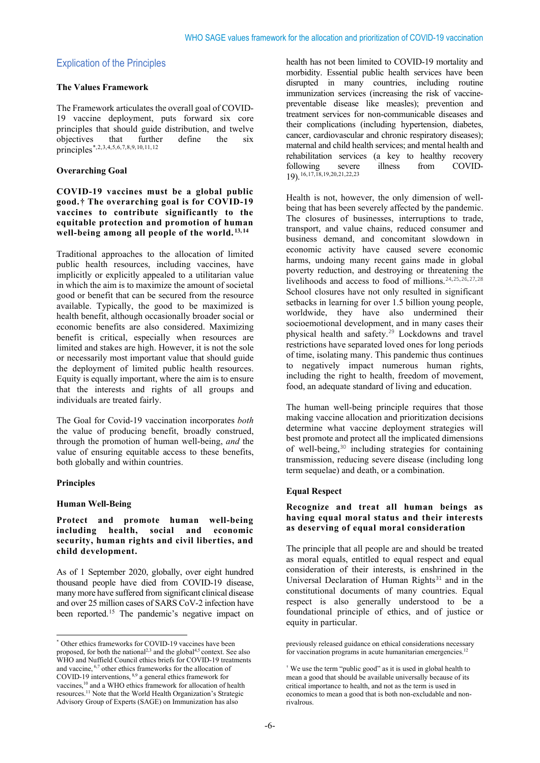# Explication of the Principles

#### **The Values Framework**

The Framework articulates the overall goal of COVID-19 vaccine deployment, puts forward six core principles that should guide distribution, and twelve objectives that further define the six principles[\\*,](#page-5-0)[2,](#page-11-1)[3](#page-11-2)[,4,](#page-11-3)[5](#page-11-4),[6](#page-11-5),[7,](#page-11-6)[8](#page-11-7),[9,](#page-11-8)[10](#page-12-0),[11,](#page-12-1)[12](#page-12-2)

#### **Overarching Goal**

**COVID-19 vaccines must be a global public good.[†](#page-5-1) The overarching goal is for COVID-19 vaccines to contribute significantly to the equitable protection and promotion of human**  well-being among all people of the world.<sup>[13](#page-12-3),[14](#page-12-4)</sup>

Traditional approaches to the allocation of limited public health resources, including vaccines, have implicitly or explicitly appealed to a utilitarian value in which the aim is to maximize the amount of societal good or benefit that can be secured from the resource available. Typically, the good to be maximized is health benefit, although occasionally broader social or economic benefits are also considered. Maximizing benefit is critical, especially when resources are limited and stakes are high. However, it is not the sole or necessarily most important value that should guide the deployment of limited public health resources. Equity is equally important, where the aim is to ensure that the interests and rights of all groups and individuals are treated fairly.

The Goal for Covid-19 vaccination incorporates *both* the value of producing benefit, broadly construed, through the promotion of human well-being, *and* the value of ensuring equitable access to these benefits, both globally and within countries.

#### **Principles**

#### **Human Well-Being**

#### **Protect and promote human well-being including health, social and economic security, human rights and civil liberties, and child development.**

As of 1 September 2020, globally, over eight hundred thousand people have died from COVID-19 disease, many more have suffered from significant clinical disease and over 25 million cases of SARS CoV-2 infection have been reported.<sup>[15](#page-12-5)</sup> The pandemic's negative impact on health has not been limited to COVID-19 mortality and morbidity. Essential public health services have been disrupted in many countries, including routine immunization services (increasing the risk of vaccinepreventable disease like measles); prevention and treatment services for non-communicable diseases and their complications (including hypertension, diabetes, cancer, cardiovascular and chronic respiratory diseases); maternal and child health services; and mental health and rehabilitation services (a key to healthy recovery following severe illness from COVID-19).[16,](#page-12-6)[17](#page-12-7),[18](#page-12-8)[,19,](#page-12-9)[20](#page-12-10),[21,](#page-12-11)[22](#page-12-12),[23](#page-12-13)

Health is not, however, the only dimension of wellbeing that has been severely affected by the pandemic. The closures of businesses, interruptions to trade, transport, and value chains, reduced consumer and business demand, and concomitant slowdown in economic activity have caused severe economic harms, undoing many recent gains made in global poverty reduction, and destroying or threatening the livelihoods and access to food of millions.[24](#page-12-14),[25](#page-12-15),[26](#page-12-16),[27](#page-12-17),[28](#page-12-18) School closures have not only resulted in significant setbacks in learning for over 1.5 billion young people, worldwide, they have also undermined their socioemotional development, and in many cases their physical health and safety.[29](#page-12-19) Lockdowns and travel restrictions have separated loved ones for long periods of time, isolating many. This pandemic thus continues to negatively impact numerous human rights, including the right to health, freedom of movement, food, an adequate standard of living and education.

The human well-being principle requires that those making vaccine allocation and prioritization decisions determine what vaccine deployment strategies will best promote and protect all the implicated dimensions of well-being,<sup>[30](#page-12-20)</sup> including strategies for containing transmission, reducing severe disease (including long term sequelae) and death, or a combination.

#### **Equal Respect**

#### **Recognize and treat all human beings as having equal moral status and their interests as deserving of equal moral consideration**

The principle that all people are and should be treated as moral equals, entitled to equal respect and equal consideration of their interests, is enshrined in the Universal Declaration of Human Rights $31$  and in the constitutional documents of many countries. Equal respect is also generally understood to be a foundational principle of ethics, and of justice or equity in particular.

<span id="page-5-1"></span><span id="page-5-0"></span><sup>\*</sup> Other ethics frameworks for COVID-19 vaccines have been proposed, for both the national<sup>2,3</sup> and the global<sup>4,5</sup> context. See also WHO and Nuffield Council ethics briefs for COVID-19 treatments and vaccine, 6,7 other ethics frameworks for the allocation of COVID-19 interventions, 8,9 a general ethics framework for vaccines,10 and a WHO ethics framework for allocation of health resources.11 Note that the World Health Organization's Strategic Advisory Group of Experts (SAGE) on Immunization has also

previously released guidance on ethical considerations necessary for vaccination programs in acute humanitarian emergencies.<sup>12</sup>

<sup>†</sup> We use the term "public good" as it is used in global health to mean a good that should be available universally because of its critical importance to health, and not as the term is used in economics to mean a good that is both non-excludable and nonrivalrous.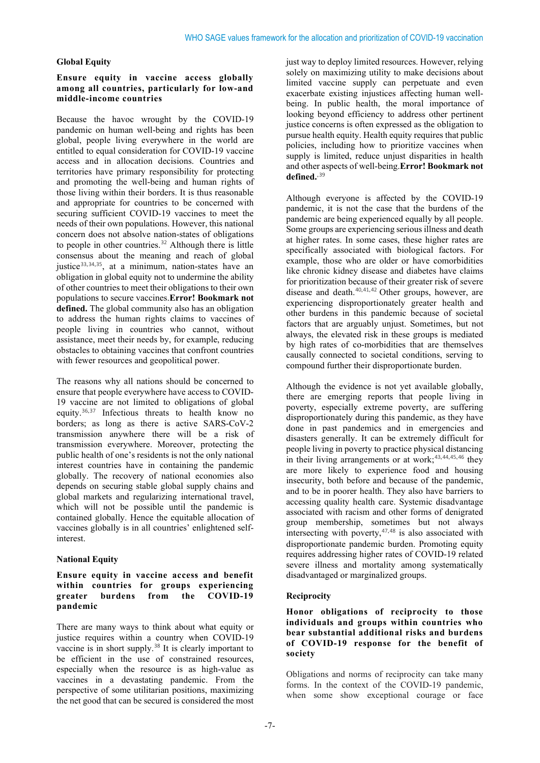# **Global Equity**

#### **Ensure equity in vaccine access globally among all countries, particularly for low-and middle-income countries**

Because the havoc wrought by the COVID-19 pandemic on human well-being and rights has been global, people living everywhere in the world are entitled to equal consideration for COVID-19 vaccine access and in allocation decisions. Countries and territories have primary responsibility for protecting and promoting the well-being and human rights of those living within their borders. It is thus reasonable and appropriate for countries to be concerned with securing sufficient COVID-19 vaccines to meet the needs of their own populations. However, this national concern does not absolve nation-states of obligations to people in other countries.<sup>[32](#page-13-1)</sup> Although there is little consensus about the meaning and reach of global justice<sup>[33](#page-13-2),[34](#page-13-3),[35](#page-13-4)</sup>, at a minimum, nation-states have an obligation in global equity not to undermine the ability of other countries to meet their obligations to their own populations to secure vaccines.**Error! Bookmark not defined.** The global community also has an obligation to address the human rights claims to vaccines of people living in countries who cannot, without assistance, meet their needs by, for example, reducing obstacles to obtaining vaccines that confront countries with fewer resources and geopolitical power.

The reasons why all nations should be concerned to ensure that people everywhere have access to COVID-19 vaccine are not limited to obligations of global equity.[36](#page-13-5),[37](#page-13-6) Infectious threats to health know no borders; as long as there is active SARS-CoV-2 transmission anywhere there will be a risk of transmission everywhere. Moreover, protecting the public health of one's residents is not the only national interest countries have in containing the pandemic globally. The recovery of national economies also depends on securing stable global supply chains and global markets and regularizing international travel, which will not be possible until the pandemic is contained globally. Hence the equitable allocation of vaccines globally is in all countries' enlightened selfinterest.

# **National Equity**

# **Ensure equity in vaccine access and benefit within countries for groups experiencing greater burdens from the COVID-19 pandemic**

There are many ways to think about what equity or justice requires within a country when COVID-19 vaccine is in short supply.<sup>[38](#page-13-7)</sup> It is clearly important to be efficient in the use of constrained resources, especially when the resource is as high-value as vaccines in a devastating pandemic. From the perspective of some utilitarian positions, maximizing the net good that can be secured is considered the most

just way to deploy limited resources. However, relying solely on maximizing utility to make decisions about limited vaccine supply can perpetuate and even exacerbate existing injustices affecting human wellbeing. In public health, the moral importance of looking beyond efficiency to address other pertinent justice concerns is often expressed as the obligation to pursue health equity. Health equity requires that public policies, including how to prioritize vaccines when supply is limited, reduce unjust disparities in health and other aspects of well-being.**Error! Bookmark not defined.**,[39](#page-13-8)

Although everyone is affected by the COVID-19 pandemic, it is not the case that the burdens of the pandemic are being experienced equally by all people. Some groups are experiencing serious illness and death at higher rates. In some cases, these higher rates are specifically associated with biological factors. For example, those who are older or have comorbidities like chronic kidney disease and diabetes have claims for prioritization because of their greater risk of severe disease and death. [40](#page-13-9),[41](#page-13-10),[42](#page-13-11) Other groups, however, are experiencing disproportionately greater health and other burdens in this pandemic because of societal factors that are arguably unjust. Sometimes, but not always, the elevated risk in these groups is mediated by high rates of co-morbidities that are themselves causally connected to societal conditions, serving to compound further their disproportionate burden.

Although the evidence is not yet available globally, there are emerging reports that people living in poverty, especially extreme poverty, are suffering disproportionately during this pandemic, as they have done in past pandemics and in emergencies and disasters generally. It can be extremely difficult for people living in poverty to practice physical distancing in their living arrangements or at work;[43](#page-13-12),[44](#page-13-13),[45](#page-13-14),[46](#page-13-15) they are more likely to experience food and housing insecurity, both before and because of the pandemic, and to be in poorer health. They also have barriers to accessing quality health care. Systemic disadvantage associated with racism and other forms of denigrated group membership, sometimes but not always intersecting with poverty, $47,48$  $47,48$  $47,48$  is also associated with disproportionate pandemic burden. Promoting equity requires addressing higher rates of COVID-19 related severe illness and mortality among systematically disadvantaged or marginalized groups.

# **Reciprocity**

# **Honor obligations of reciprocity to those individuals and groups within countries who bear substantial additional risks and burdens of COVID-19 response for the benefit of society**

Obligations and norms of reciprocity can take many forms. In the context of the COVID-19 pandemic, when some show exceptional courage or face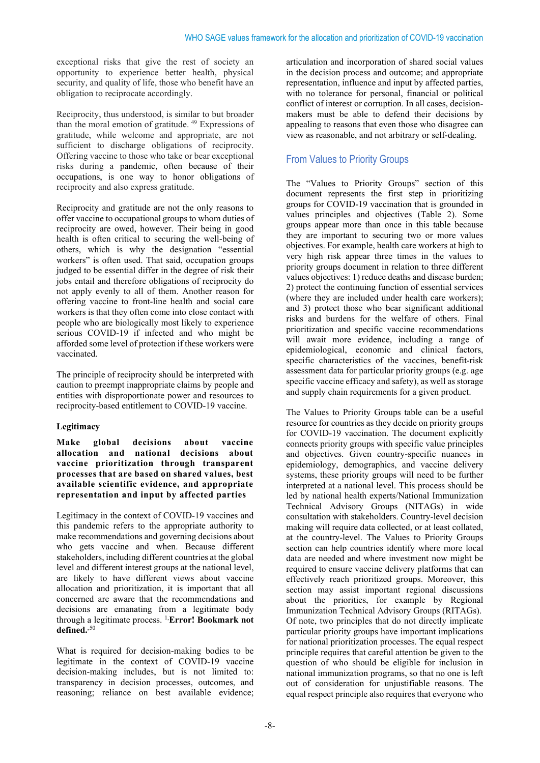exceptional risks that give the rest of society an opportunity to experience better health, physical security, and quality of life, those who benefit have an obligation to reciprocate accordingly.

Reciprocity, thus understood, is similar to but broader than the moral emotion of gratitude. [49](#page-13-18) Expressions of gratitude, while welcome and appropriate, are not sufficient to discharge obligations of reciprocity. Offering vaccine to those who take or bear exceptional risks during a pandemic, often because of their occupations, is one way to honor obligations of reciprocity and also express gratitude.

Reciprocity and gratitude are not the only reasons to offer vaccine to occupational groups to whom duties of reciprocity are owed, however. Their being in good health is often critical to securing the well-being of others, which is why the designation "essential workers" is often used. That said, occupation groups judged to be essential differ in the degree of risk their jobs entail and therefore obligations of reciprocity do not apply evenly to all of them. Another reason for offering vaccine to front-line health and social care workers is that they often come into close contact with people who are biologically most likely to experience serious COVID-19 if infected and who might be afforded some level of protection if these workers were vaccinated.

The principle of reciprocity should be interpreted with caution to preempt inappropriate claims by people and entities with disproportionate power and resources to reciprocity-based entitlement to COVID-19 vaccine.

# **Legitimacy**

**Make global decisions about vaccine allocation and national decisions about vaccine prioritization through transparent processes that are based on shared values, best available scientific evidence, and appropriate representation and input by affected parties** 

Legitimacy in the context of COVID-19 vaccines and this pandemic refers to the appropriate authority to make recommendations and governing decisions about who gets vaccine and when. Because different stakeholders, including different countries at the global level and different interest groups at the national level, are likely to have different views about vaccine allocation and prioritization, it is important that all concerned are aware that the recommendations and decisions are emanating from a legitimate body through a legitimate process. [1,](#page-4-0) **Error! Bookmark not**  defined.<sup>,[50](#page-13-19)</sup>

What is required for decision-making bodies to be legitimate in the context of COVID-19 vaccine decision-making includes, but is not limited to: transparency in decision processes, outcomes, and reasoning; reliance on best available evidence;

articulation and incorporation of shared social values in the decision process and outcome; and appropriate representation, influence and input by affected parties, with no tolerance for personal, financial or political conflict of interest or corruption. In all cases, decisionmakers must be able to defend their decisions by appealing to reasons that even those who disagree can view as reasonable, and not arbitrary or self-dealing.

# From Values to Priority Groups

The "Values to Priority Groups" section of this document represents the first step in prioritizing groups for COVID-19 vaccination that is grounded in values principles and objectives (Table 2). Some groups appear more than once in this table because they are important to securing two or more values objectives. For example, health care workers at high to very high risk appear three times in the values to priority groups document in relation to three different values objectives: 1) reduce deaths and disease burden; 2) protect the continuing function of essential services (where they are included under health care workers); and 3) protect those who bear significant additional risks and burdens for the welfare of others. Final prioritization and specific vaccine recommendations will await more evidence, including a range of epidemiological, economic and clinical factors, specific characteristics of the vaccines, benefit-risk assessment data for particular priority groups (e.g. age specific vaccine efficacy and safety), as well as storage and supply chain requirements for a given product.

The Values to Priority Groups table can be a useful resource for countries as they decide on priority groups for COVID-19 vaccination. The document explicitly connects priority groups with specific value principles and objectives. Given country-specific nuances in epidemiology, demographics, and vaccine delivery systems, these priority groups will need to be further interpreted at a national level. This process should be led by national health experts/National Immunization Technical Advisory Groups (NITAGs) in wide consultation with stakeholders. Country-level decision making will require data collected, or at least collated, at the country-level. The Values to Priority Groups section can help countries identify where more local data are needed and where investment now might be required to ensure vaccine delivery platforms that can effectively reach prioritized groups. Moreover, this section may assist important regional discussions about the priorities, for example by Regional Immunization Technical Advisory Groups (RITAGs). Of note, two principles that do not directly implicate particular priority groups have important implications for national prioritization processes. The equal respect principle requires that careful attention be given to the question of who should be eligible for inclusion in national immunization programs, so that no one is left out of consideration for unjustifiable reasons. The equal respect principle also requires that everyone who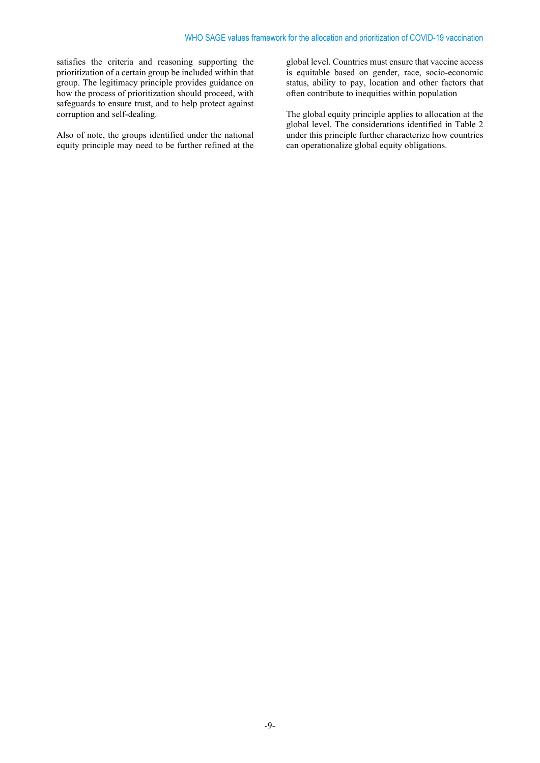satisfies the criteria and reasoning supporting the prioritization of a certain group be included within that group. The legitimacy principle provides guidance on how the process of prioritization should proceed, with safeguards to ensure trust, and to help protect against corruption and self-dealing.

Also of note, the groups identified under the national equity principle may need to be further refined at the global level. Countries must ensure that vaccine access is equitable based on gender, race, socio-economic status, ability to pay, location and other factors that often contribute to inequities within population

The global equity principle applies to allocation at the global level. The considerations identified in Table 2 under this principle further characterize how countries can operationalize global equity obligations.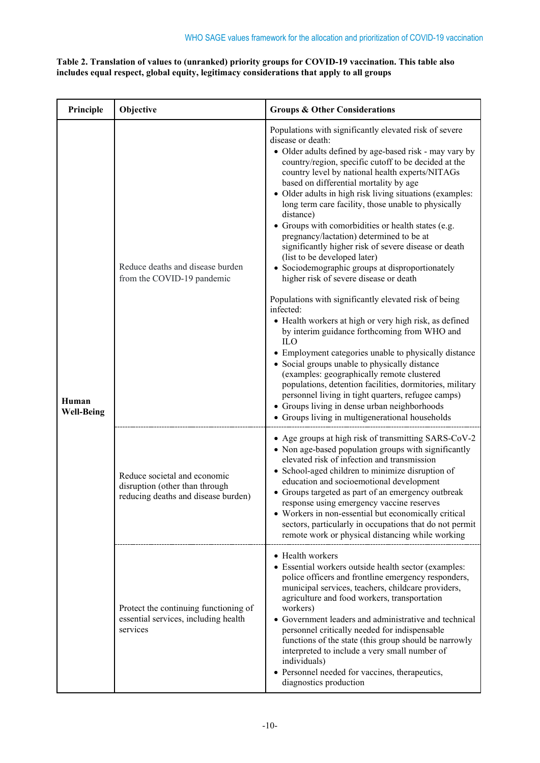# **Table 2. Translation of values to (unranked) priority groups for COVID-19 vaccination. This table also includes equal respect, global equity, legitimacy considerations that apply to all groups**

| Principle                  | Objective                                                                                             | <b>Groups &amp; Other Considerations</b>                                                                                                                                                                                                                                                                                                                                                                                                                                                                                                                                                                                                                                                                                                                                                                                                                                                                                                                                                                                                                                                                                                                                                                                                                                                     |
|----------------------------|-------------------------------------------------------------------------------------------------------|----------------------------------------------------------------------------------------------------------------------------------------------------------------------------------------------------------------------------------------------------------------------------------------------------------------------------------------------------------------------------------------------------------------------------------------------------------------------------------------------------------------------------------------------------------------------------------------------------------------------------------------------------------------------------------------------------------------------------------------------------------------------------------------------------------------------------------------------------------------------------------------------------------------------------------------------------------------------------------------------------------------------------------------------------------------------------------------------------------------------------------------------------------------------------------------------------------------------------------------------------------------------------------------------|
| Human<br><b>Well-Being</b> | Reduce deaths and disease burden<br>from the COVID-19 pandemic                                        | Populations with significantly elevated risk of severe<br>disease or death:<br>• Older adults defined by age-based risk - may vary by<br>country/region, specific cutoff to be decided at the<br>country level by national health experts/NITAGs<br>based on differential mortality by age<br>• Older adults in high risk living situations (examples:<br>long term care facility, those unable to physically<br>distance)<br>• Groups with comorbidities or health states (e.g.<br>pregnancy/lactation) determined to be at<br>significantly higher risk of severe disease or death<br>(list to be developed later)<br>• Sociodemographic groups at disproportionately<br>higher risk of severe disease or death<br>Populations with significantly elevated risk of being<br>infected:<br>• Health workers at high or very high risk, as defined<br>by interim guidance forthcoming from WHO and<br><b>ILO</b><br>• Employment categories unable to physically distance<br>• Social groups unable to physically distance<br>(examples: geographically remote clustered<br>populations, detention facilities, dormitories, military<br>personnel living in tight quarters, refugee camps)<br>• Groups living in dense urban neighborhoods<br>• Groups living in multigenerational households |
|                            | Reduce societal and economic<br>disruption (other than through<br>reducing deaths and disease burden) | • Age groups at high risk of transmitting SARS-CoV-2<br>• Non age-based population groups with significantly<br>elevated risk of infection and transmission<br>• School-aged children to minimize disruption of<br>education and socioemotional development<br>• Groups targeted as part of an emergency outbreak<br>response using emergency vaccine reserves<br>• Workers in non-essential but economically critical<br>sectors, particularly in occupations that do not permit<br>remote work or physical distancing while working                                                                                                                                                                                                                                                                                                                                                                                                                                                                                                                                                                                                                                                                                                                                                        |
|                            | Protect the continuing functioning of<br>essential services, including health<br>services             | • Health workers<br>• Essential workers outside health sector (examples:<br>police officers and frontline emergency responders,<br>municipal services, teachers, childcare providers,<br>agriculture and food workers, transportation<br>workers)<br>• Government leaders and administrative and technical<br>personnel critically needed for indispensable<br>functions of the state (this group should be narrowly<br>interpreted to include a very small number of<br>individuals)<br>• Personnel needed for vaccines, therapeutics,<br>diagnostics production                                                                                                                                                                                                                                                                                                                                                                                                                                                                                                                                                                                                                                                                                                                            |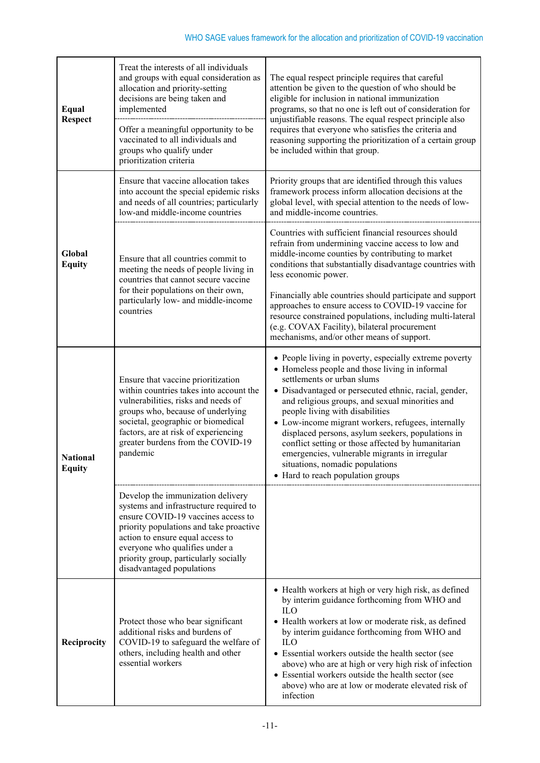| Equal<br><b>Respect</b>          | Treat the interests of all individuals<br>and groups with equal consideration as<br>allocation and priority-setting<br>decisions are being taken and<br>implemented<br>Offer a meaningful opportunity to be<br>vaccinated to all individuals and<br>groups who qualify under<br>prioritization criteria  | The equal respect principle requires that careful<br>attention be given to the question of who should be<br>eligible for inclusion in national immunization<br>programs, so that no one is left out of consideration for<br>unjustifiable reasons. The equal respect principle also<br>requires that everyone who satisfies the criteria and<br>reasoning supporting the prioritization of a certain group<br>be included within that group.                                                                                                                                    |
|----------------------------------|----------------------------------------------------------------------------------------------------------------------------------------------------------------------------------------------------------------------------------------------------------------------------------------------------------|---------------------------------------------------------------------------------------------------------------------------------------------------------------------------------------------------------------------------------------------------------------------------------------------------------------------------------------------------------------------------------------------------------------------------------------------------------------------------------------------------------------------------------------------------------------------------------|
| Global<br><b>Equity</b>          | Ensure that vaccine allocation takes<br>into account the special epidemic risks<br>and needs of all countries; particularly<br>low-and middle-income countries                                                                                                                                           | Priority groups that are identified through this values<br>framework process inform allocation decisions at the<br>global level, with special attention to the needs of low-<br>and middle-income countries.                                                                                                                                                                                                                                                                                                                                                                    |
|                                  | Ensure that all countries commit to<br>meeting the needs of people living in<br>countries that cannot secure vaccine<br>for their populations on their own,<br>particularly low- and middle-income<br>countries                                                                                          | Countries with sufficient financial resources should<br>refrain from undermining vaccine access to low and<br>middle-income counties by contributing to market<br>conditions that substantially disadvantage countries with<br>less economic power.<br>Financially able countries should participate and support<br>approaches to ensure access to COVID-19 vaccine for<br>resource constrained populations, including multi-lateral<br>(e.g. COVAX Facility), bilateral procurement<br>mechanisms, and/or other means of support.                                              |
| <b>National</b><br><b>Equity</b> | Ensure that vaccine prioritization<br>within countries takes into account the<br>vulnerabilities, risks and needs of<br>groups who, because of underlying<br>societal, geographic or biomedical<br>factors, are at risk of experiencing<br>greater burdens from the COVID-19<br>pandemic                 | • People living in poverty, especially extreme poverty<br>• Homeless people and those living in informal<br>settlements or urban slums<br>· Disadvantaged or persecuted ethnic, racial, gender,<br>and religious groups, and sexual minorities and<br>people living with disabilities<br>• Low-income migrant workers, refugees, internally<br>displaced persons, asylum seekers, populations in<br>conflict setting or those affected by humanitarian<br>emergencies, vulnerable migrants in irregular<br>situations, nomadic populations<br>• Hard to reach population groups |
|                                  | Develop the immunization delivery<br>systems and infrastructure required to<br>ensure COVID-19 vaccines access to<br>priority populations and take proactive<br>action to ensure equal access to<br>everyone who qualifies under a<br>priority group, particularly socially<br>disadvantaged populations |                                                                                                                                                                                                                                                                                                                                                                                                                                                                                                                                                                                 |
| Reciprocity                      | Protect those who bear significant<br>additional risks and burdens of<br>COVID-19 to safeguard the welfare of<br>others, including health and other<br>essential workers                                                                                                                                 | • Health workers at high or very high risk, as defined<br>by interim guidance forthcoming from WHO and<br><b>ILO</b><br>• Health workers at low or moderate risk, as defined<br>by interim guidance forthcoming from WHO and<br><b>ILO</b><br>• Essential workers outside the health sector (see<br>above) who are at high or very high risk of infection<br>• Essential workers outside the health sector (see<br>above) who are at low or moderate elevated risk of<br>infection                                                                                              |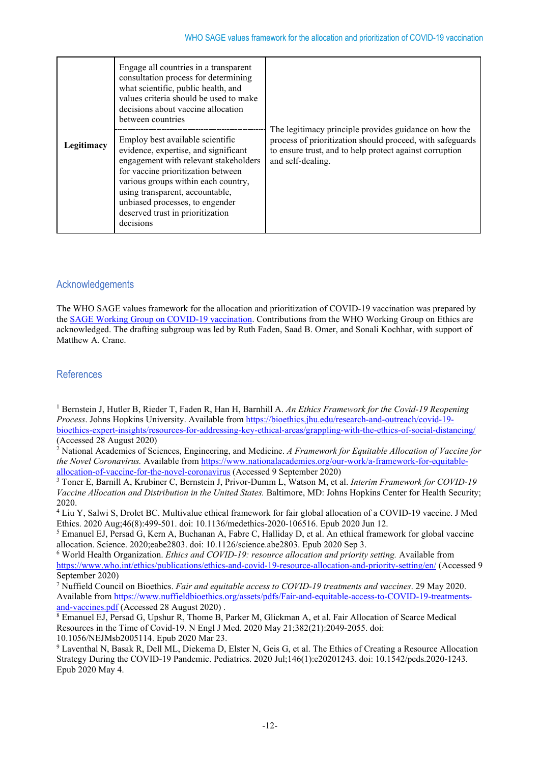| Legitimacy | Engage all countries in a transparent<br>consultation process for determining<br>what scientific, public health, and<br>values criteria should be used to make<br>decisions about vaccine allocation<br>between countries                                                                                             | The legitimacy principle provides guidance on how the<br>process of prioritization should proceed, with safeguards<br>to ensure trust, and to help protect against corruption<br>and self-dealing. |
|------------|-----------------------------------------------------------------------------------------------------------------------------------------------------------------------------------------------------------------------------------------------------------------------------------------------------------------------|----------------------------------------------------------------------------------------------------------------------------------------------------------------------------------------------------|
|            | Employ best available scientific<br>evidence, expertise, and significant<br>engagement with relevant stakeholders<br>for vaccine prioritization between<br>various groups within each country,<br>using transparent, accountable,<br>unbiased processes, to engender<br>deserved trust in prioritization<br>decisions |                                                                                                                                                                                                    |

# **Acknowledgements**

The WHO SAGE values framework for the allocation and prioritization of COVID-19 vaccination was prepared by the [SAGE Working Group on COVID-19](https://www.who.int/immunization/sage/sage_wg_covid-19/en/) vaccination. Contributions from the WHO Working Group on Ethics are acknowledged. The drafting subgroup was led by Ruth Faden, Saad B. Omer, and Sonali Kochhar, with support of Matthew A. Crane.

# References

<span id="page-11-0"></span><sup>1</sup> Bernstein J, Hutler B, Rieder T, Faden R, Han H, Barnhill A. *An Ethics Framework for the Covid-19 Reopening Process*. Johns Hopkins University. Available from [https://bioethics.jhu.edu/research-and-outreach/covid-19](https://bioethics.jhu.edu/research-and-outreach/covid-19-bioethics-expert-insights/resources-for-addressing-key-ethical-areas/grappling-with-the-ethics-of-social-distancing/) [bioethics-expert-insights/resources-for-addressing-key-ethical-areas/grappling-with-the-ethics-of-social-distancing/](https://bioethics.jhu.edu/research-and-outreach/covid-19-bioethics-expert-insights/resources-for-addressing-key-ethical-areas/grappling-with-the-ethics-of-social-distancing/) (Accessed 28 August 2020)

<span id="page-11-1"></span><sup>2</sup> National Academies of Sciences, Engineering, and Medicine. *A Framework for Equitable Allocation of Vaccine for the Novel Coronavirus.* Available from [https://www.nationalacademies.org/our-work/a-framework-for-equitable](https://www.nationalacademies.org/our-work/a-framework-for-equitable-allocation-of-vaccine-for-the-novel-coronavirus)[allocation-of-vaccine-for-the-novel-coronavirus](https://www.nationalacademies.org/our-work/a-framework-for-equitable-allocation-of-vaccine-for-the-novel-coronavirus) (Accessed 9 September 2020)

<span id="page-11-2"></span><sup>3</sup> Toner E, Barnill A, Krubiner C, Bernstein J, Privor-Dumm L, Watson M, et al. *Interim Framework for COVID-19 Vaccine Allocation and Distribution in the United States.* Baltimore, MD: Johns Hopkins Center for Health Security; 2020.

<span id="page-11-3"></span><sup>4</sup> Liu Y, Salwi S, Drolet BC. Multivalue ethical framework for fair global allocation of a COVID-19 vaccine. J Med Ethics. 2020 Aug;46(8):499-501. doi: 10.1136/medethics-2020-106516. Epub 2020 Jun 12.

<span id="page-11-4"></span><sup>5</sup> Emanuel EJ, Persad G, Kern A, Buchanan A, Fabre C, Halliday D, et al. An ethical framework for global vaccine allocation. Science. 2020;eabe2803. doi: 10.1126/science.abe2803. Epub 2020 Sep 3.

<span id="page-11-5"></span><sup>6</sup> World Health Organization. *Ethics and COVID-19: resource allocation and priority setting.* Available from <https://www.who.int/ethics/publications/ethics-and-covid-19-resource-allocation-and-priority-setting/en/> (Accessed 9 September 2020)

<span id="page-11-6"></span><sup>7</sup> Nuffield Council on Bioethics. *Fair and equitable access to COVID-19 treatments and vaccines*. 29 May 2020. Available fro[m https://www.nuffieldbioethics.org/assets/pdfs/Fair-and-equitable-access-to-COVID-19-treatments](https://www.nuffieldbioethics.org/assets/pdfs/Fair-and-equitable-access-to-COVID-19-treatments-and-vaccines.pdf)[and-vaccines.pdf](https://www.nuffieldbioethics.org/assets/pdfs/Fair-and-equitable-access-to-COVID-19-treatments-and-vaccines.pdf) (Accessed 28 August 2020) .

<span id="page-11-7"></span><sup>8</sup> Emanuel EJ, Persad G, Upshur R, Thome B, Parker M, Glickman A, et al. Fair Allocation of Scarce Medical Resources in the Time of Covid-19. N Engl J Med. 2020 May 21;382(21):2049-2055. doi: 10.1056/NEJMsb2005114. Epub 2020 Mar 23.

<span id="page-11-8"></span><sup>9</sup> Laventhal N, Basak R, Dell ML, Diekema D, Elster N, Geis G, et al. The Ethics of Creating a Resource Allocation Strategy During the COVID-19 Pandemic. Pediatrics. 2020 Jul;146(1):e20201243. doi: 10.1542/peds.2020-1243. Epub 2020 May 4.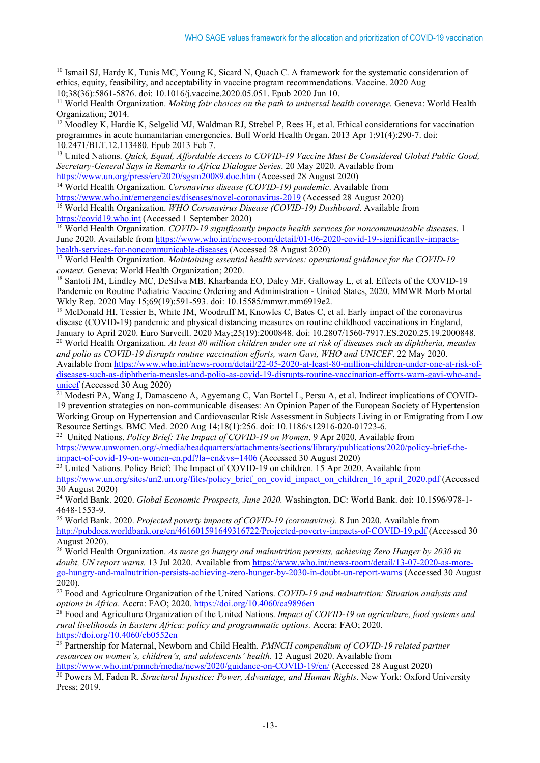<span id="page-12-0"></span><sup>10</sup> Ismail SJ, Hardy K, Tunis MC, Young K, Sicard N, Quach C. A framework for the systematic consideration of ethics, equity, feasibility, and acceptability in vaccine program recommendations. Vaccine. 2020 Aug 10;38(36):5861-5876. doi: 10.1016/j.vaccine.2020.05.051. Epub 2020 Jun 10.

<span id="page-12-1"></span><sup>11</sup> World Health Organization. *Making fair choices on the path to universal health coverage*. Geneva: World Health Organization; 2014.

<span id="page-12-2"></span><sup>12</sup> Moodley K, Hardie K, Selgelid MJ, Waldman RJ, Strebel P, Rees H, et al. Ethical considerations for vaccination programmes in acute humanitarian emergencies. Bull World Health Organ. 2013 Apr 1;91(4):290-7. doi: 10.2471/BLT.12.113480. Epub 2013 Feb 7.

<span id="page-12-3"></span><sup>13</sup> United Nations. *Quick, Equal, Affordable Access to COVID-19 Vaccine Must Be Considered Global Public Good, Secretary-General Says in Remarks to Africa Dialogue Series*. 20 May 2020. Available from <https://www.un.org/press/en/2020/sgsm20089.doc.htm> (Accessed 28 August 2020)

<span id="page-12-4"></span><sup>14</sup> World Health Organization. *Coronavirus disease (COVID-19) pandemic*. Available from <https://www.who.int/emergencies/diseases/novel-coronavirus-2019> (Accessed 28 August 2020)

<span id="page-12-5"></span><sup>15</sup> World Health Organization. *WHO Coronavirus Disease (COVID-19) Dashboard*. Available from [https://covid19.who.int](https://covid19.who.int/) (Accessed 1 September 2020)

<span id="page-12-6"></span><sup>16</sup> World Health Organization. *COVID-19 significantly impacts health services for noncommunicable diseases*. 1 June 2020. Available fro[m https://www.who.int/news-room/detail/01-06-2020-covid-19-significantly-impacts](https://www.who.int/news-room/detail/01-06-2020-covid-19-significantly-impacts-health-services-for-noncommunicable-diseases)[health-services-for-noncommunicable-diseases](https://www.who.int/news-room/detail/01-06-2020-covid-19-significantly-impacts-health-services-for-noncommunicable-diseases) (Accessed 28 August 2020)

<span id="page-12-7"></span><sup>17</sup> World Health Organization. *Maintaining essential health services: operational guidance for the COVID-19 context.* Geneva: World Health Organization; 2020.

<span id="page-12-8"></span><sup>18</sup> Santoli JM, Lindley MC, DeSilva MB, Kharbanda EO, Daley MF, Galloway L, et al. Effects of the COVID-19 Pandemic on Routine Pediatric Vaccine Ordering and Administration - United States, 2020. MMWR Morb Mortal Wkly Rep. 2020 May 15:69(19):591-593. doi: 10.15585/mmwr.mm6919e2.

<span id="page-12-9"></span><sup>19</sup> McDonald HI, Tessier E, White JM, Woodruff M, Knowles C, Bates C, et al. Early impact of the coronavirus disease (COVID-19) pandemic and physical distancing measures on routine childhood vaccinations in England,<br>January to April 2020. Euro Surveill. 2020 May;25(19):2000848. doi: 10.2807/1560-7917.ES.2020.25.19.2000848.

<span id="page-12-10"></span> $20$  World Health Organization. At least 80 million children under one at risk of diseases such as diphtheria, measles *and polio as COVID-19 disrupts routine vaccination efforts, warn Gavi, WHO and UNICEF*. 22 May 2020. Available from [https://www.who.int/news-room/detail/22-05-2020-at-least-80-million-children-under-one-at-risk-of-](https://www.who.int/news-room/detail/22-05-2020-at-least-80-million-children-under-one-at-risk-of-diseases-such-as-diphtheria-measles-and-polio-as-covid-19-disrupts-routine-vaccination-efforts-warn-gavi-who-and-unicef)

[diseases-such-as-diphtheria-measles-and-polio-as-covid-19-disrupts-routine-vaccination-efforts-warn-gavi-who-and](https://www.who.int/news-room/detail/22-05-2020-at-least-80-million-children-under-one-at-risk-of-diseases-such-as-diphtheria-measles-and-polio-as-covid-19-disrupts-routine-vaccination-efforts-warn-gavi-who-and-unicef)[unicef](https://www.who.int/news-room/detail/22-05-2020-at-least-80-million-children-under-one-at-risk-of-diseases-such-as-diphtheria-measles-and-polio-as-covid-19-disrupts-routine-vaccination-efforts-warn-gavi-who-and-unicef) (Accessed 30 Aug 2020)

<span id="page-12-11"></span><sup>21</sup> Modesti PA, Wang J, Damasceno A, Agyemang C, Van Bortel L, Persu A, et al. Indirect implications of COVID-19 prevention strategies on non-communicable diseases: An Opinion Paper of the European Society of Hypertension Working Group on Hypertension and Cardiovascular Risk Assessment in Subjects Living in or Emigrating from Low Resource Settings. BMC Med. 2020 Aug 14;18(1):256. doi: 10.1186/s12916-020-01723-6. 22 United Nations. *Policy Brief: The Impact of COVID-19 on Women*. 9 Apr 2020. Available from

<span id="page-12-12"></span>[https://www.unwomen.org/-/media/headquarters/attachments/sections/library/publications/2020/policy-brief-the](https://www.unwomen.org/-/media/headquarters/attachments/sections/library/publications/2020/policy-brief-the-impact-of-covid-19-on-women-en.pdf?la=en&vs=1406)[impact-of-covid-19-on-women-en.pdf?la=en&vs=1406](https://www.unwomen.org/-/media/headquarters/attachments/sections/library/publications/2020/policy-brief-the-impact-of-covid-19-on-women-en.pdf?la=en&vs=1406) (Accessed 30 August 2020)

<span id="page-12-13"></span><sup>23</sup> United Nations. Policy Brief: The Impact of COVID-19 on children. 15 Apr 2020. Available from [https://www.un.org/sites/un2.un.org/files/policy\\_brief\\_on\\_covid\\_impact\\_on\\_children\\_16\\_april\\_2020.pdf](https://www.un.org/sites/un2.un.org/files/policy_brief_on_covid_impact_on_children_16_april_2020.pdf) (Accessed 30 August 2020)

<span id="page-12-14"></span><sup>24</sup> World Bank. 2020. *Global Economic Prospects, June 2020.* Washington, DC: World Bank. doi: 10.1596/978-1- 4648-1553-9.

<span id="page-12-15"></span><sup>25</sup> World Bank. 2020. *Projected poverty impacts of COVID-19 (coronavirus).* 8 Jun 2020. Available from <http://pubdocs.worldbank.org/en/461601591649316722/Projected-poverty-impacts-of-COVID-19.pdf> (Accessed 30 August 2020).

<span id="page-12-16"></span><sup>26</sup> World Health Organization. *As more go hungry and malnutrition persists, achieving Zero Hunger by 2030 in doubt, UN report warns.* 13 Jul 2020. Available fro[m https://www.who.int/news-room/detail/13-07-2020-as-more](https://www.who.int/news-room/detail/13-07-2020-as-more-go-hungry-and-malnutrition-persists-achieving-zero-hunger-by-2030-in-doubt-un-report-warns)[go-hungry-and-malnutrition-persists-achieving-zero-hunger-by-2030-in-doubt-un-report-warns](https://www.who.int/news-room/detail/13-07-2020-as-more-go-hungry-and-malnutrition-persists-achieving-zero-hunger-by-2030-in-doubt-un-report-warns) (Accessed 30 August 2020).

<span id="page-12-17"></span><sup>27</sup> Food and Agriculture Organization of the United Nations. *COVID-19 and malnutrition: Situation analysis and options in Africa*. Accra: FAO; 2020.<https://doi.org/10.4060/ca9896en>

<span id="page-12-18"></span><sup>28</sup> Food and Agriculture Organization of the United Nations. *Impact of COVID-19 on agriculture, food systems and rural livelihoods in Eastern Africa: policy and programmatic options.* Accra: FAO; 2020. <https://doi.org/10.4060/cb0552en>

<span id="page-12-19"></span><sup>29</sup> Partnership for Maternal, Newborn and Child Health. *PMNCH compendium of COVID-19 related partner resources on women's, children's, and adolescents' health*. 12 August 2020. Available from <https://www.who.int/pmnch/media/news/2020/guidance-on-COVID-19/en/> (Accessed 28 August 2020)

<span id="page-12-20"></span><sup>30</sup> Powers M, Faden R. *Structural Injustice: Power, Advantage, and Human Rights*. New York: Oxford University Press; 2019.